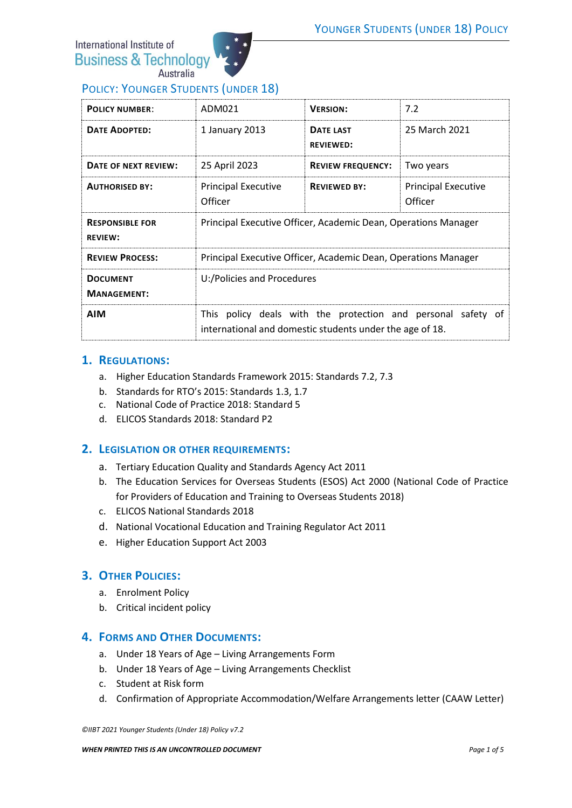International Institute of **Business & Technology** Australia



## POLICY: YOUNGER STUDENTS (UNDER 18)

| <b>POLICY NUMBER:</b>                    | ADM021                                                                                                                   | <b>VERSION:</b>                      | 7.2                                   |
|------------------------------------------|--------------------------------------------------------------------------------------------------------------------------|--------------------------------------|---------------------------------------|
| <b>DATE ADOPTED:</b>                     | 1 January 2013                                                                                                           | <b>DATE LAST</b><br><b>REVIEWED:</b> | 25 March 2021                         |
| DATE OF NEXT REVIEW:                     | 25 April 2023                                                                                                            | <b>REVIEW FREQUENCY:</b>             | Two years                             |
| <b>AUTHORISED BY:</b>                    | <b>Principal Executive</b><br>Officer                                                                                    | <b>REVIEWED BY:</b>                  | <b>Principal Executive</b><br>Officer |
| <b>RESPONSIBLE FOR</b><br><b>REVIEW:</b> | Principal Executive Officer, Academic Dean, Operations Manager                                                           |                                      |                                       |
| <b>REVIEW PROCESS:</b>                   | Principal Executive Officer, Academic Dean, Operations Manager                                                           |                                      |                                       |
| <b>DOCUMENT</b><br><b>MANAGEMENT:</b>    | U:/Policies and Procedures                                                                                               |                                      |                                       |
| <b>AIM</b>                               | This policy deals with the protection and personal safety of<br>international and domestic students under the age of 18. |                                      |                                       |

#### **1. REGULATIONS:**

- a. Higher Education Standards Framework 2015: Standards 7.2, 7.3
- b. Standards for RTO's 2015: Standards 1.3, 1.7
- c. National Code of Practice 2018: Standard 5
- d. ELICOS Standards 2018: Standard P2

### **2. LEGISLATION OR OTHER REQUIREMENTS:**

- a. Tertiary Education Quality and Standards Agency Act 2011
- b. The Education Services for Overseas Students (ESOS) Act 2000 (National Code of Practice for Providers of Education and Training to Overseas Students 2018)
- c. ELICOS National Standards 2018
- d. National Vocational Education and Training Regulator Act 2011
- e. Higher Education Support Act 2003

### **3. OTHER POLICIES:**

- a. Enrolment Policy
- b. Critical incident policy

### **4. FORMS AND OTHER DOCUMENTS:**

- a. Under 18 Years of Age Living Arrangements Form
- b. Under 18 Years of Age Living Arrangements Checklist
- c. Student at Risk form
- d. Confirmation of Appropriate Accommodation/Welfare Arrangements letter (CAAW Letter)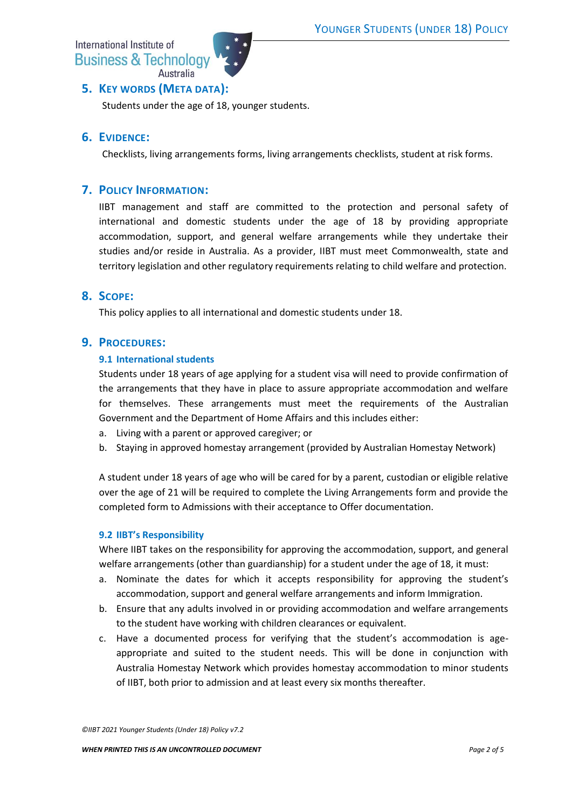International Institute of **Business & Technology** Australia



# **5. KEY WORDS (META DATA):**

Students under the age of 18, younger students.

## **6. EVIDENCE:**

Checklists, living arrangements forms, living arrangements checklists, student at risk forms.

### **7. POLICY INFORMATION:**

IIBT management and staff are committed to the protection and personal safety of international and domestic students under the age of 18 by providing appropriate accommodation, support, and general welfare arrangements while they undertake their studies and/or reside in Australia. As a provider, IIBT must meet Commonwealth, state and territory legislation and other regulatory requirements relating to child welfare and protection.

### **8. SCOPE:**

This policy applies to all international and domestic students under 18.

### **9. PROCEDURES:**

#### **9.1 International students**

Students under 18 years of age applying for a student visa will need to provide confirmation of the arrangements that they have in place to assure appropriate accommodation and welfare for themselves. These arrangements must meet the requirements of the Australian Government and the Department of Home Affairs and this includes either:

- a. Living with a parent or approved caregiver; or
- b. Staying in approved homestay arrangement (provided by Australian Homestay Network)

A student under 18 years of age who will be cared for by a parent, custodian or eligible relative over the age of 21 will be required to complete the Living Arrangements form and provide the completed form to Admissions with their acceptance to Offer documentation.

#### **9.2 IIBT's Responsibility**

Where IIBT takes on the responsibility for approving the accommodation, support, and general welfare arrangements (other than guardianship) for a student under the age of 18, it must:

- a. Nominate the dates for which it accepts responsibility for approving the student's accommodation, support and general welfare arrangements and inform Immigration.
- b. Ensure that any adults involved in or providing accommodation and welfare arrangements to the student have working with children clearances or equivalent.
- c. Have a documented process for verifying that the student's accommodation is ageappropriate and suited to the student needs. This will be done in conjunction with Australia Homestay Network which provides homestay accommodation to minor students of IIBT, both prior to admission and at least every six months thereafter.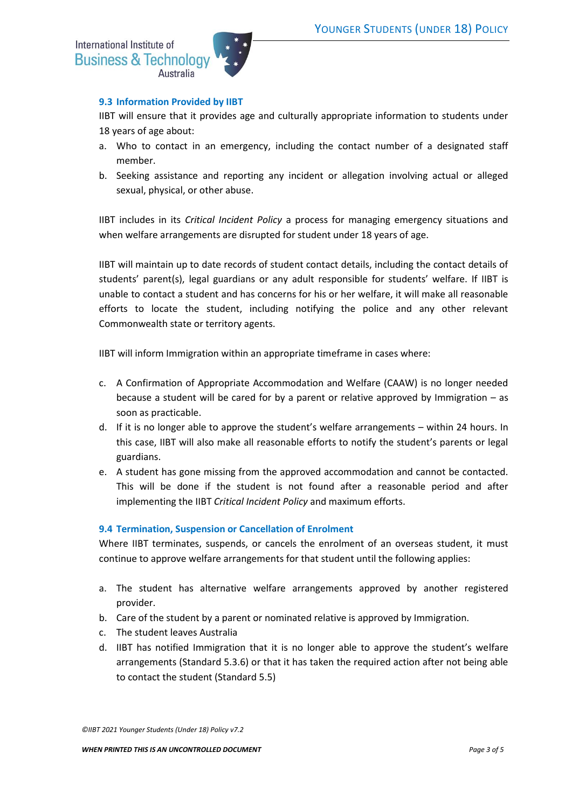

#### **9.3 Information Provided by IIBT**

IIBT will ensure that it provides age and culturally appropriate information to students under 18 years of age about:

- a. Who to contact in an emergency, including the contact number of a designated staff member.
- b. Seeking assistance and reporting any incident or allegation involving actual or alleged sexual, physical, or other abuse.

IIBT includes in its *Critical Incident Policy* a process for managing emergency situations and when welfare arrangements are disrupted for student under 18 years of age.

IIBT will maintain up to date records of student contact details, including the contact details of students' parent(s), legal guardians or any adult responsible for students' welfare. If IIBT is unable to contact a student and has concerns for his or her welfare, it will make all reasonable efforts to locate the student, including notifying the police and any other relevant Commonwealth state or territory agents.

IIBT will inform Immigration within an appropriate timeframe in cases where:

- c. A Confirmation of Appropriate Accommodation and Welfare (CAAW) is no longer needed because a student will be cared for by a parent or relative approved by Immigration – as soon as practicable.
- d. If it is no longer able to approve the student's welfare arrangements within 24 hours. In this case, IIBT will also make all reasonable efforts to notify the student's parents or legal guardians.
- e. A student has gone missing from the approved accommodation and cannot be contacted. This will be done if the student is not found after a reasonable period and after implementing the IIBT *Critical Incident Policy* and maximum efforts.

#### **9.4 Termination, Suspension or Cancellation of Enrolment**

Where IIBT terminates, suspends, or cancels the enrolment of an overseas student, it must continue to approve welfare arrangements for that student until the following applies:

- a. The student has alternative welfare arrangements approved by another registered provider.
- b. Care of the student by a parent or nominated relative is approved by Immigration.
- c. The student leaves Australia
- d. IIBT has notified Immigration that it is no longer able to approve the student's welfare arrangements (Standard 5.3.6) or that it has taken the required action after not being able to contact the student (Standard 5.5)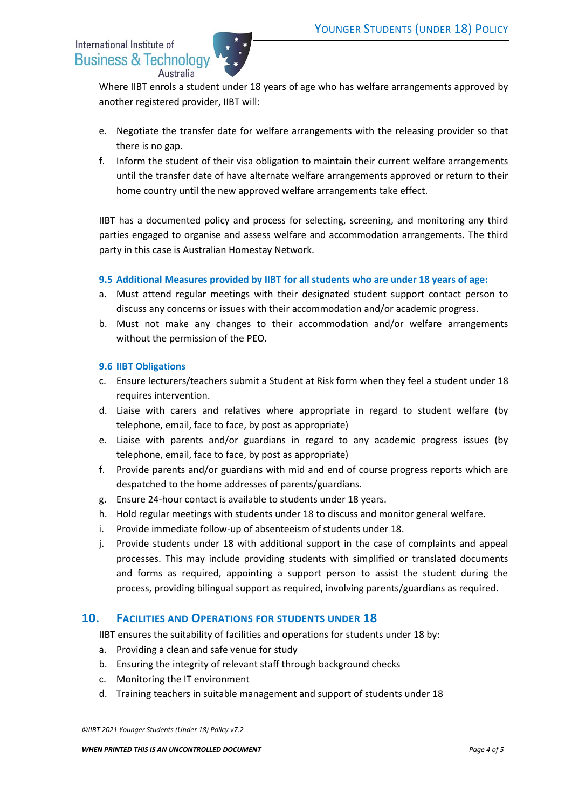| International Institute of |                  |
|----------------------------|------------------|
| Business & Technology      |                  |
|                            | <b>Australia</b> |



Where IIBT enrols a student under 18 years of age who has welfare arrangements approved by another registered provider, IIBT will:

- e. Negotiate the transfer date for welfare arrangements with the releasing provider so that there is no gap.
- f. Inform the student of their visa obligation to maintain their current welfare arrangements until the transfer date of have alternate welfare arrangements approved or return to their home country until the new approved welfare arrangements take effect.

IIBT has a documented policy and process for selecting, screening, and monitoring any third parties engaged to organise and assess welfare and accommodation arrangements. The third party in this case is Australian Homestay Network.

### **9.5 Additional Measures provided by IIBT for all students who are under 18 years of age:**

- a. Must attend regular meetings with their designated student support contact person to discuss any concerns or issues with their accommodation and/or academic progress.
- b. Must not make any changes to their accommodation and/or welfare arrangements without the permission of the PEO.

#### **9.6 IIBT Obligations**

- c. Ensure lecturers/teachers submit a Student at Risk form when they feel a student under 18 requires intervention.
- d. Liaise with carers and relatives where appropriate in regard to student welfare (by telephone, email, face to face, by post as appropriate)
- e. Liaise with parents and/or guardians in regard to any academic progress issues (by telephone, email, face to face, by post as appropriate)
- f. Provide parents and/or guardians with mid and end of course progress reports which are despatched to the home addresses of parents/guardians.
- g. Ensure 24-hour contact is available to students under 18 years.
- h. Hold regular meetings with students under 18 to discuss and monitor general welfare.
- i. Provide immediate follow-up of absenteeism of students under 18.
- j. Provide students under 18 with additional support in the case of complaints and appeal processes. This may include providing students with simplified or translated documents and forms as required, appointing a support person to assist the student during the process, providing bilingual support as required, involving parents/guardians as required.

### **10. FACILITIES AND OPERATIONS FOR STUDENTS UNDER 18**

IIBT ensures the suitability of facilities and operations for students under 18 by:

- a. Providing a clean and safe venue for study
- b. Ensuring the integrity of relevant staff through background checks
- c. Monitoring the IT environment
- d. Training teachers in suitable management and support of students under 18